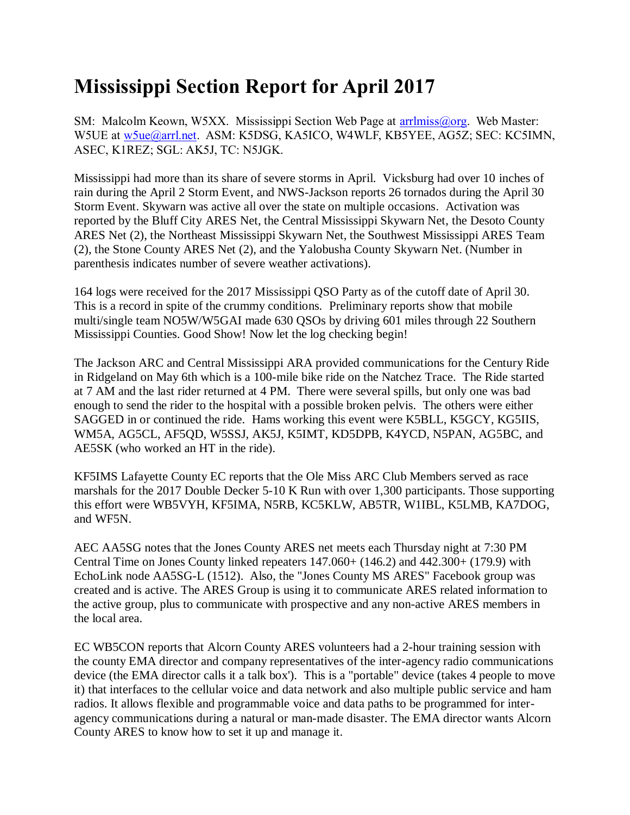## **Mississippi Section Report for April 2017**

SM: Malcolm Keown, W5XX. Mississippi Section Web Page at [arrlmiss@org.](mailto:arrlmiss@org) Web Master: W5UE at [w5ue@arrl.net.](mailto:w5ue@arrl.net) ASM: K5DSG, KA5ICO, W4WLF, KB5YEE, AG5Z; SEC: KC5IMN, ASEC, K1REZ; SGL: AK5J, TC: N5JGK.

Mississippi had more than its share of severe storms in April. Vicksburg had over 10 inches of rain during the April 2 Storm Event, and NWS-Jackson reports 26 tornados during the April 30 Storm Event. Skywarn was active all over the state on multiple occasions. Activation was reported by the Bluff City ARES Net, the Central Mississippi Skywarn Net, the Desoto County ARES Net (2), the Northeast Mississippi Skywarn Net, the Southwest Mississippi ARES Team (2), the Stone County ARES Net (2), and the Yalobusha County Skywarn Net. (Number in parenthesis indicates number of severe weather activations).

164 logs were received for the 2017 Mississippi QSO Party as of the cutoff date of April 30. This is a record in spite of the crummy conditions. Preliminary reports show that mobile multi/single team NO5W/W5GAI made 630 QSOs by driving 601 miles through 22 Southern Mississippi Counties. Good Show! Now let the log checking begin!

The Jackson ARC and Central Mississippi ARA provided communications for the Century Ride in Ridgeland on May 6th which is a 100-mile bike ride on the Natchez Trace. The Ride started at 7 AM and the last rider returned at 4 PM. There were several spills, but only one was bad enough to send the rider to the hospital with a possible broken pelvis. The others were either SAGGED in or continued the ride. Hams working this event were K5BLL, K5GCY, KG5IIS, WM5A, AG5CL, AF5QD, W5SSJ, AK5J, K5IMT, KD5DPB, K4YCD, N5PAN, AG5BC, and AE5SK (who worked an HT in the ride).

KF5IMS Lafayette County EC reports that the Ole Miss ARC Club Members served as race marshals for the 2017 Double Decker 5-10 K Run with over 1,300 participants. Those supporting this effort were WB5VYH, KF5IMA, N5RB, KC5KLW, AB5TR, W1IBL, K5LMB, KA7DOG, and WF5N.

AEC AA5SG notes that the Jones County ARES net meets each Thursday night at 7:30 PM Central Time on Jones County linked repeaters 147.060+ (146.2) and 442.300+ (179.9) with EchoLink node AA5SG-L (1512). Also, the "Jones County MS ARES" Facebook group was created and is active. The ARES Group is using it to communicate ARES related information to the active group, plus to communicate with prospective and any non-active ARES members in the local area.

EC WB5CON reports that Alcorn County ARES volunteers had a 2-hour training session with the county EMA director and company representatives of the inter-agency radio communications device (the EMA director calls it a talk box'). This is a "portable" device (takes 4 people to move it) that interfaces to the cellular voice and data network and also multiple public service and ham radios. It allows flexible and programmable voice and data paths to be programmed for interagency communications during a natural or man-made disaster. The EMA director wants Alcorn County ARES to know how to set it up and manage it.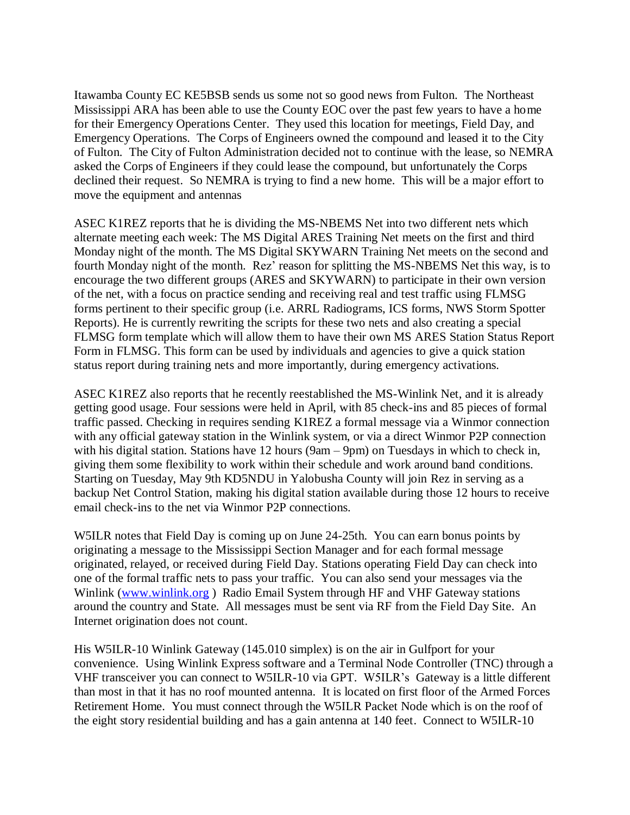Itawamba County EC KE5BSB sends us some not so good news from Fulton. The Northeast Mississippi ARA has been able to use the County EOC over the past few years to have a home for their Emergency Operations Center. They used this location for meetings, Field Day, and Emergency Operations. The Corps of Engineers owned the compound and leased it to the City of Fulton. The City of Fulton Administration decided not to continue with the lease, so NEMRA asked the Corps of Engineers if they could lease the compound, but unfortunately the Corps declined their request. So NEMRA is trying to find a new home. This will be a major effort to move the equipment and antennas

ASEC K1REZ reports that he is dividing the MS-NBEMS Net into two different nets which alternate meeting each week: The MS Digital ARES Training Net meets on the first and third Monday night of the month. The MS Digital SKYWARN Training Net meets on the second and fourth Monday night of the month. Rez' reason for splitting the MS-NBEMS Net this way, is to encourage the two different groups (ARES and SKYWARN) to participate in their own version of the net, with a focus on practice sending and receiving real and test traffic using FLMSG forms pertinent to their specific group (i.e. ARRL Radiograms, ICS forms, NWS Storm Spotter Reports). He is currently rewriting the scripts for these two nets and also creating a special FLMSG form template which will allow them to have their own MS ARES Station Status Report Form in FLMSG. This form can be used by individuals and agencies to give a quick station status report during training nets and more importantly, during emergency activations.

ASEC K1REZ also reports that he recently reestablished the MS-Winlink Net, and it is already getting good usage. Four sessions were held in April, with 85 check-ins and 85 pieces of formal traffic passed. Checking in requires sending K1REZ a formal message via a Winmor connection with any official gateway station in the Winlink system, or via a direct Winmor P2P connection with his digital station. Stations have 12 hours (9am – 9pm) on Tuesdays in which to check in, giving them some flexibility to work within their schedule and work around band conditions. Starting on Tuesday, May 9th KD5NDU in Yalobusha County will join Rez in serving as a backup Net Control Station, making his digital station available during those 12 hours to receive email check-ins to the net via Winmor P2P connections.

W5ILR notes that Field Day is coming up on June 24-25th. You can earn bonus points by originating a message to the Mississippi Section Manager and for each formal message originated, relayed, or received during Field Day. Stations operating Field Day can check into one of the formal traffic nets to pass your traffic. You can also send your messages via the Winlink [\(www.winlink.org](http://www.winlink.org/)) Radio Email System through HF and VHF Gateway stations around the country and State. All messages must be sent via RF from the Field Day Site. An Internet origination does not count.

His W5ILR-10 Winlink Gateway (145.010 simplex) is on the air in Gulfport for your convenience. Using Winlink Express software and a Terminal Node Controller (TNC) through a VHF transceiver you can connect to W5ILR-10 via GPT. W5ILR's Gateway is a little different than most in that it has no roof mounted antenna. It is located on first floor of the Armed Forces Retirement Home. You must connect through the W5ILR Packet Node which is on the roof of the eight story residential building and has a gain antenna at 140 feet. Connect to W5ILR-10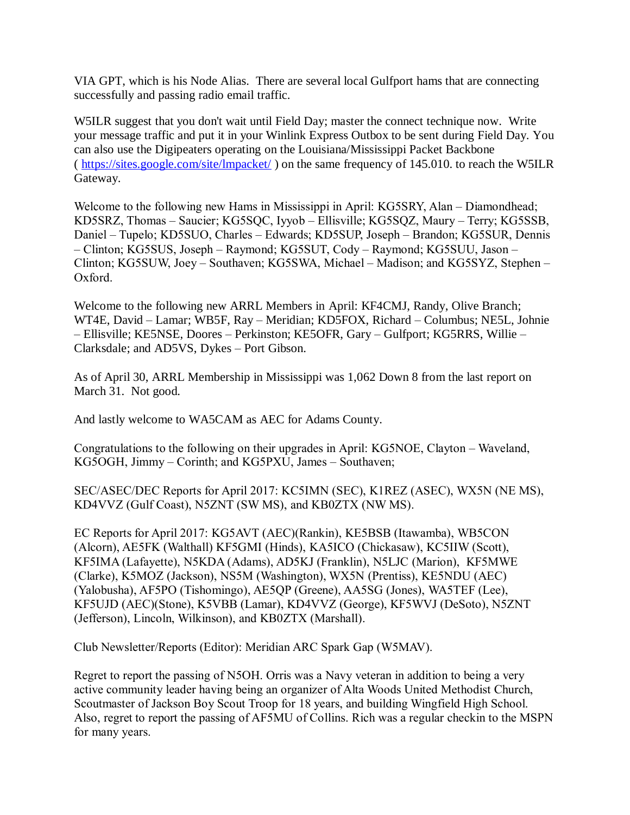VIA GPT, which is his Node Alias. There are several local Gulfport hams that are connecting successfully and passing radio email traffic.

W5ILR suggest that you don't wait until Field Day; master the connect technique now. Write your message traffic and put it in your Winlink Express Outbox to be sent during Field Day. You can also use the Digipeaters operating on the Louisiana/Mississippi Packet Backbone ( <https://sites.google.com/site/lmpacket/> ) on the same frequency of 145.010. to reach the W5ILR Gateway.

Welcome to the following new Hams in Mississippi in April: KG5SRY, Alan – Diamondhead; KD5SRZ, Thomas – Saucier; KG5SQC, Iyyob – Ellisville; KG5SQZ, Maury – Terry; KG5SSB, Daniel – Tupelo; KD5SUO, Charles – Edwards; KD5SUP, Joseph – Brandon; KG5SUR, Dennis – Clinton; KG5SUS, Joseph – Raymond; KG5SUT, Cody – Raymond; KG5SUU, Jason – Clinton; KG5SUW, Joey – Southaven; KG5SWA, Michael – Madison; and KG5SYZ, Stephen – Oxford.

Welcome to the following new ARRL Members in April: KF4CMJ, Randy, Olive Branch; WT4E, David – Lamar; WB5F, Ray – Meridian; KD5FOX, Richard – Columbus; NE5L, Johnie – Ellisville; KE5NSE, Doores – Perkinston; KE5OFR, Gary – Gulfport; KG5RRS, Willie – Clarksdale; and AD5VS, Dykes – Port Gibson.

As of April 30, ARRL Membership in Mississippi was 1,062 Down 8 from the last report on March 31. Not good.

And lastly welcome to WA5CAM as AEC for Adams County.

Congratulations to the following on their upgrades in April: KG5NOE, Clayton – Waveland, KG5OGH, Jimmy – Corinth; and KG5PXU, James – Southaven;

SEC/ASEC/DEC Reports for April 2017: KC5IMN (SEC), K1REZ (ASEC), WX5N (NE MS), KD4VVZ (Gulf Coast), N5ZNT (SW MS), and KB0ZTX (NW MS).

EC Reports for April 2017: KG5AVT (AEC)(Rankin), KE5BSB (Itawamba), WB5CON (Alcorn), AE5FK (Walthall) KF5GMI (Hinds), KA5ICO (Chickasaw), KC5IIW (Scott), KF5IMA (Lafayette), N5KDA (Adams), AD5KJ (Franklin), N5LJC (Marion), KF5MWE (Clarke), K5MOZ (Jackson), NS5M (Washington), WX5N (Prentiss), KE5NDU (AEC) (Yalobusha), AF5PO (Tishomingo), AE5QP (Greene), AA5SG (Jones), WA5TEF (Lee), KF5UJD (AEC)(Stone), K5VBB (Lamar), KD4VVZ (George), KF5WVJ (DeSoto), N5ZNT (Jefferson), Lincoln, Wilkinson), and KB0ZTX (Marshall).

Club Newsletter/Reports (Editor): Meridian ARC Spark Gap (W5MAV).

Regret to report the passing of N5OH. Orris was a Navy veteran in addition to being a very active community leader having being an organizer of Alta Woods United Methodist Church, Scoutmaster of Jackson Boy Scout Troop for 18 years, and building Wingfield High School. Also, regret to report the passing of AF5MU of Collins. Rich was a regular checkin to the MSPN for many years.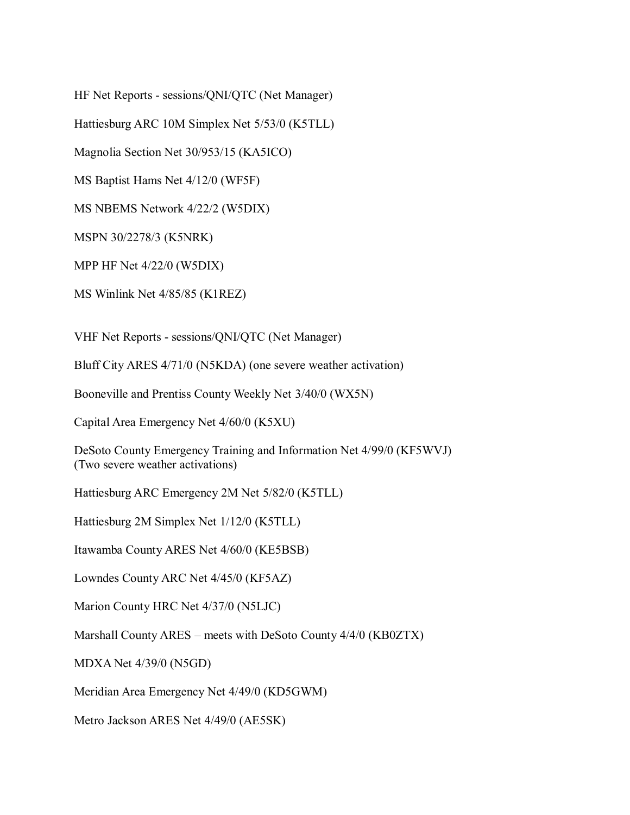HF Net Reports - sessions/QNI/QTC (Net Manager)

Hattiesburg ARC 10M Simplex Net 5/53/0 (K5TLL)

Magnolia Section Net 30/953/15 (KA5ICO)

MS Baptist Hams Net 4/12/0 (WF5F)

MS NBEMS Network 4/22/2 (W5DIX)

MSPN 30/2278/3 (K5NRK)

MPP HF Net 4/22/0 (W5DIX)

MS Winlink Net 4/85/85 (K1REZ)

VHF Net Reports - sessions/QNI/QTC (Net Manager)

Bluff City ARES 4/71/0 (N5KDA) (one severe weather activation)

Booneville and Prentiss County Weekly Net 3/40/0 (WX5N)

Capital Area Emergency Net 4/60/0 (K5XU)

|                                  | DeSoto County Emergency Training and Information Net 4/99/0 (KF5WVJ) |
|----------------------------------|----------------------------------------------------------------------|
| (Two severe weather activations) |                                                                      |

Hattiesburg ARC Emergency 2M Net 5/82/0 (K5TLL)

Hattiesburg 2M Simplex Net 1/12/0 (K5TLL)

Itawamba County ARES Net 4/60/0 (KE5BSB)

Lowndes County ARC Net 4/45/0 (KF5AZ)

Marion County HRC Net 4/37/0 (N5LJC)

Marshall County ARES – meets with DeSoto County 4/4/0 (KB0ZTX)

MDXA Net 4/39/0 (N5GD)

Meridian Area Emergency Net 4/49/0 (KD5GWM)

Metro Jackson ARES Net 4/49/0 (AE5SK)